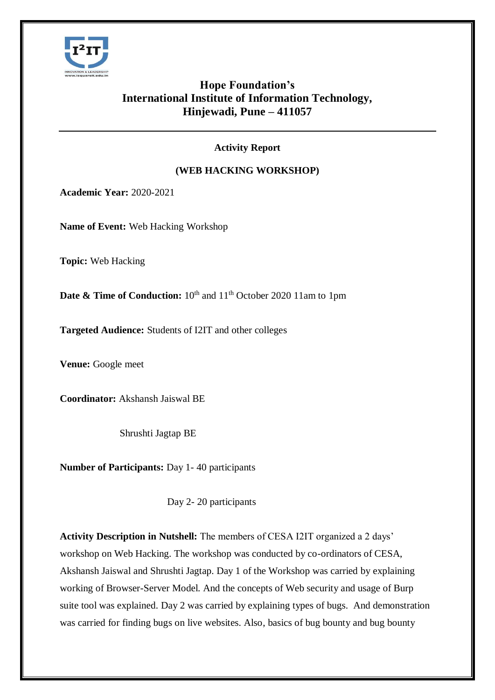

## **Hope Foundation's International Institute of Information Technology, Hinjewadi, Pune – 411057**

## **Activity Report**

## **(WEB HACKING WORKSHOP)**

**Academic Year:** 2020-2021

**Name of Event:** Web Hacking Workshop

**Topic:** Web Hacking

**Date & Time of Conduction:** 10<sup>th</sup> and 11<sup>th</sup> October 2020 11am to 1pm

**Targeted Audience:** Students of I2IT and other colleges

**Venue:** Google meet

**Coordinator:** Akshansh Jaiswal BE

Shrushti Jagtap BE

**Number of Participants:** Day 1- 40 participants

Day 2- 20 participants

**Activity Description in Nutshell:** The members of CESA I2IT organized a 2 days' workshop on Web Hacking. The workshop was conducted by co-ordinators of CESA, Akshansh Jaiswal and Shrushti Jagtap. Day 1 of the Workshop was carried by explaining working of Browser-Server Model. And the concepts of Web security and usage of Burp suite tool was explained. Day 2 was carried by explaining types of bugs. And demonstration was carried for finding bugs on live websites. Also, basics of bug bounty and bug bounty